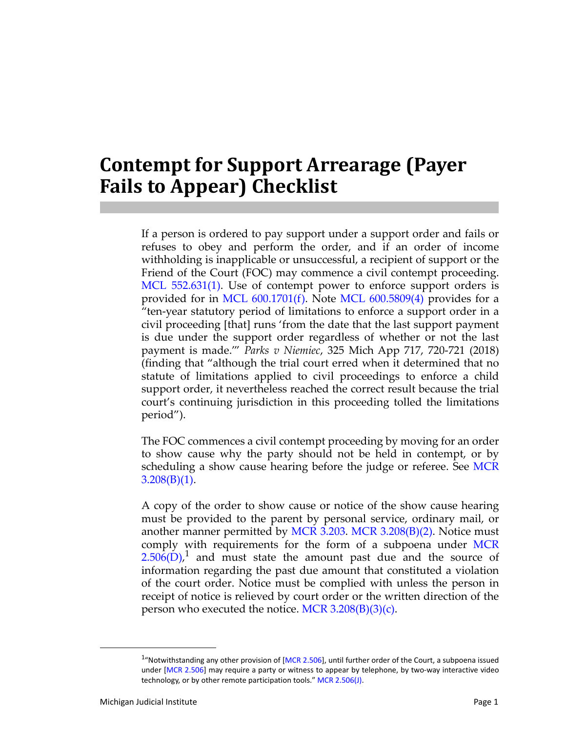## **Contempt for Support Arrearage (Payer Fails to Appear) Checklist**

If a person is ordered to pay support under a support order and fails or refuses to obey and perform the order, and if an order of income withholding is inapplicable or unsuccessful, a recipient of support or the Friend of the Court (FOC) may commence a civil contempt proceeding. [MCL 552.631\(1\).](http://legislature.mi.gov/doc.aspx?mcl-552-631) Use of contempt power to enforce support orders is provided for in MCL  $600.1701(f)$ . Note MCL  $600.5809(4)$  provides for a "ten-year statutory period of limitations to enforce a support order in a civil proceeding [that] runs 'from the date that the last support payment is due under the support order regardless of whether or not the last payment is made.'" *Parks v Niemiec*, 325 Mich App 717, 720-721 (2018) (finding that "although the trial court erred when it determined that no statute of limitations applied to civil proceedings to enforce a child support order, it nevertheless reached the correct result because the trial court's continuing jurisdiction in this proceeding tolled the limitations period").

The FOC commences a civil contempt proceeding by moving for an order to show cause why the party should not be held in contempt, or by scheduling a show cause hearing before the judge or referee. See [MCR](http://courts.mi.gov/Courts/MichiganSupremeCourt/rules/Documents/HTML/CRs/Ch%203/Court%20Rules%20Book%20Ch%203-Responsive%20HTML5/index.html#t=Court_Rules_Book_Ch_3%2FCourt_Rules_Chapter_3%2FCourt_Rules_Chapter_3.htm)  $3.208(B)(1)$ .

A copy of the order to show cause or notice of the show cause hearing must be provided to the parent by personal service, ordinary mail, or another manner permitted by [MCR 3.203.](http://courts.mi.gov/Courts/MichiganSupremeCourt/rules/Documents/HTML/CRs/Ch%203/Court%20Rules%20Book%20Ch%203-Responsive%20HTML5/index.html#t=Court_Rules_Book_Ch_3%2FCourt_Rules_Chapter_3%2FCourt_Rules_Chapter_3.htm) [MCR 3.208\(B\)\(2\)](http://courts.mi.gov/Courts/MichiganSupremeCourt/rules/Documents/HTML/CRs/Ch%203/Court%20Rules%20Book%20Ch%203-Responsive%20HTML5/index.html#t=Court_Rules_Book_Ch_3%2FCourt_Rules_Chapter_3%2FCourt_Rules_Chapter_3.htm). Notice must comply with requirements for the form of a subpoena under [MCR](http://courts.mi.gov/Courts/MichiganSupremeCourt/rules/Documents/HTML/CRs/Ch%202/Court%20Rules%20Book%20Ch%202-Responsive%20HTML5/index.html#t=Court_Rules_Book_Ch_2%2FCourt_Rules_Chapter_2%2FCourt_Rules_Chapter_2.htm)  $2.506(D)$ ,<sup>1</sup> and must state the amount past due and the source of information regarding the past due amount that constituted a violation of the court order. Notice must be complied with unless the person in receipt of notice is relieved by court order or the written direction of the person who executed the notice. MCR  $3.208(B)(3)(c)$ .

<sup>&</sup>lt;sup>1</sup>"Notwithstanding any other provision of [\[MCR 2.506](http://courts.mi.gov/Courts/MichiganSupremeCourt/rules/Documents/HTML/CRs/Ch%202/Court%20Rules%20Book%20Ch%202-Responsive%20HTML5/index.html#t=Court_Rules_Book_Ch_2%2FCourt_Rules_Chapter_2%2FCourt_Rules_Chapter_2.htm)], until further order of the Court, a subpoena issued under [\[MCR 2.506](http://courts.mi.gov/Courts/MichiganSupremeCourt/rules/Documents/HTML/CRs/Ch%202/Court%20Rules%20Book%20Ch%202-Responsive%20HTML5/index.html#t=Court_Rules_Book_Ch_2%2FCourt_Rules_Chapter_2%2FCourt_Rules_Chapter_2.htm)] may require a party or witness to appear by telephone, by two-way interactive video technology, or by other remote participation tools." [MCR 2.506\(J\).](http://courts.mi.gov/Courts/MichiganSupremeCourt/rules/Documents/HTML/CRs/Ch%202/Court%20Rules%20Book%20Ch%202-Responsive%20HTML5/index.html#t=Court_Rules_Book_Ch_2%2FCourt_Rules_Chapter_2%2FCourt_Rules_Chapter_2.htm)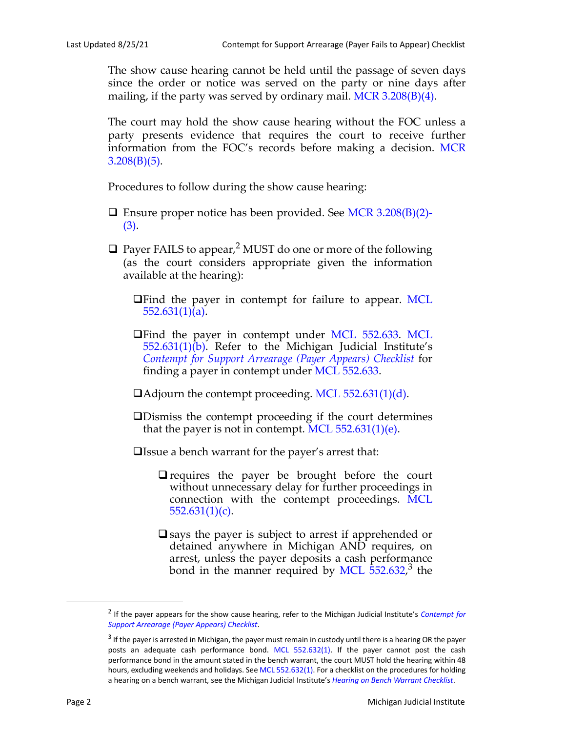The show cause hearing cannot be held until the passage of seven days since the order or notice was served on the party or nine days after mailing, if the party was served by ordinary mail. [MCR 3.208\(B\)\(4\).](http://courts.mi.gov/Courts/MichiganSupremeCourt/rules/Documents/HTML/CRs/Ch%203/Court%20Rules%20Book%20Ch%203-Responsive%20HTML5/index.html#t=Court_Rules_Book_Ch_3%2FCourt_Rules_Chapter_3%2FCourt_Rules_Chapter_3.htm)

The court may hold the show cause hearing without the FOC unless a party presents evidence that requires the court to receive further information from the FOC's records before making a decision. [MCR](http://courts.mi.gov/Courts/MichiganSupremeCourt/rules/Documents/HTML/CRs/Ch%203/Court%20Rules%20Book%20Ch%203-Responsive%20HTML5/index.html#t=Court_Rules_Book_Ch_3%2FCourt_Rules_Chapter_3%2FCourt_Rules_Chapter_3.htm)  $3.208(B)(5)$ .

Procedures to follow during the show cause hearing:

- $\Box$  Ensure proper notice has been provided. See [MCR 3.208\(B\)\(2\)-](http://courts.mi.gov/Courts/MichiganSupremeCourt/rules/Documents/HTML/CRs/Ch%203/Court%20Rules%20Book%20Ch%203-Responsive%20HTML5/index.html#t=Court_Rules_Book_Ch_3%2FCourt_Rules_Chapter_3%2FCourt_Rules_Chapter_3.htm) [\(3\)](http://courts.mi.gov/Courts/MichiganSupremeCourt/rules/Documents/HTML/CRs/Ch%203/Court%20Rules%20Book%20Ch%203-Responsive%20HTML5/index.html#t=Court_Rules_Book_Ch_3%2FCourt_Rules_Chapter_3%2FCourt_Rules_Chapter_3.htm).
- $\Box$  Payer FAILS to appear,<sup>2</sup> MUST do one or more of the following (as the court considers appropriate given the information available at the hearing):

**The DE DE 2018** The payer in contempt for failure to appear. [MCL](http://legislature.mi.gov/doc.aspx?mcl-552-631) [552.631\(1\)\(a\).](http://legislature.mi.gov/doc.aspx?mcl-552-631)

- **The DED DED** of the payer in contempt under [MCL 552.633](http://legislature.mi.gov/doc.aspx?mcl-552-633). [MCL](http://legislature.mi.gov/doc.aspx?mcl-552-631) [552.631\(1\)\(b\)](http://legislature.mi.gov/doc.aspx?mcl-552-631). Refer to the Michigan Judicial Institute's *[Contempt for Support Arrearage \(Payer Appears\) Checklist](https://mjieducation.mi.gov/documents/family-qrms/531-contempt-for-support-arrearage-payer-appears-checklist)* for finding a payer in contempt under [MCL 552.633.](http://legislature.mi.gov/doc.aspx?mcl-552-633)
- Adjourn the contempt proceeding. [MCL 552.631\(1\)\(d\).](http://legislature.mi.gov/doc.aspx?mcl-552-631)
- Dismiss the contempt proceeding if the court determines that the payer is not in contempt. MCL  $552.631(1)(e)$ .
- Issue a bench warrant for the payer's arrest that:
	- $\Box$  requires the payer be brought before the court without unnecessary delay for further proceedings in connection with the contempt proceedings. [MCL](http://legislature.mi.gov/doc.aspx?mcl-552-631) [552.631\(1\)\(c\).](http://legislature.mi.gov/doc.aspx?mcl-552-631)
	- $\square$  says the payer is subject to arrest if apprehended or detained anywhere in Michigan AND requires, on arrest, unless the payer deposits a cash performance bond in the manner required by [MCL 552.632,](http://legislature.mi.gov/doc.aspx?mcl-552-632)<sup>3</sup> the

<sup>2</sup> If the payer appears for the show cause hearing, refer to the Michigan Judicial Institute's *[Contempt for](https://mjieducation.mi.gov/documents/family-qrms/531-contempt-for-support-arrearage-payer-appears-checklist) [Support Arrearage \(Payer Appears\) Checklist](https://mjieducation.mi.gov/documents/family-qrms/531-contempt-for-support-arrearage-payer-appears-checklist)*.

<sup>&</sup>lt;sup>3</sup> If the payer is arrested in Michigan, the payer must remain in custody until there is a hearing OR the payer posts an adequate cash performance bond. [MCL 552.632\(1\)](http://legislature.mi.gov/doc.aspx?mcl-552-632). If the payer cannot post the cash performance bond in the amount stated in the bench warrant, the court MUST hold the hearing within 48 hours, excluding weekends and holidays. See [MCL 552.632\(1\).](http://legislature.mi.gov/doc.aspx?mcl-552-632) For a checklist on the procedures for holding a hearing on a bench warrant, see the Michigan Judicial Institute's *[Hearing on Bench Warrant Checklist](https://mjieducation.mi.gov/documents/family-qrms/546-hearing-on-the-merits-of-the-bench-warrant-checklist)*.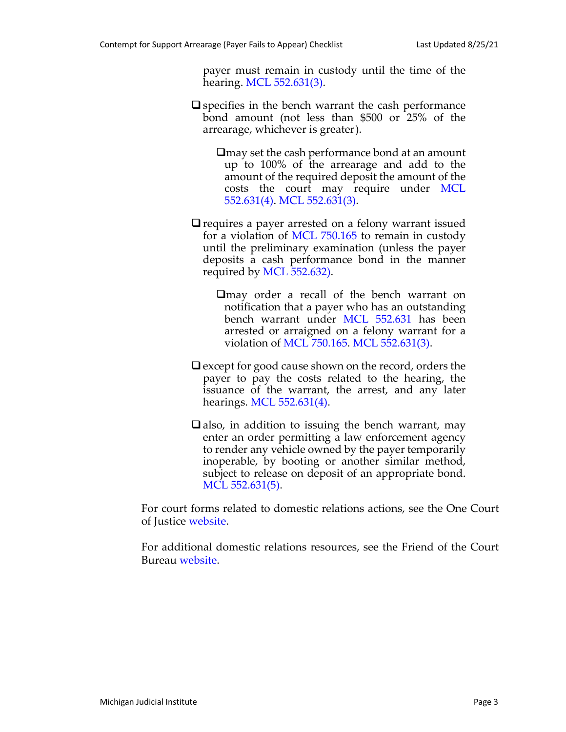payer must remain in custody until the time of the hearing. [MCL 552.631\(3\)](http://legislature.mi.gov/doc.aspx?mcl-552-631).

- $\square$  specifies in the bench warrant the cash performance bond amount (not less than \$500 or 25% of the arrearage, whichever is greater).
	- $\Box$ may set the cash performance bond at an amount up to 100% of the arrearage and add to the amount of the required deposit the amount of the costs the court may require under [MCL](http://legislature.mi.gov/doc.aspx?mcl-552-631) [552.631\(4\).](http://legislature.mi.gov/doc.aspx?mcl-552-631) [MCL 552.631\(3\)](http://legislature.mi.gov/doc.aspx?mcl-552-631).
- $\Box$  requires a payer arrested on a felony warrant issued for a violation of [MCL 750.165](http://legislature.mi.gov/doc.aspx?mcl-750-165) to remain in custody until the preliminary examination (unless the payer deposits a cash performance bond in the manner required by [MCL 552.632\).](http://legislature.mi.gov/doc.aspx?mcl-552-632)

 $\Box$ may order a recall of the bench warrant on notification that a payer who has an outstanding bench warrant under [MCL 552.631](http://legislature.mi.gov/doc.aspx?mcl-552-631) has been arrested or arraigned on a felony warrant for a violation of [MCL 750.165.](http://legislature.mi.gov/doc.aspx?mcl-750-165) [MCL 552.631\(3\)](http://legislature.mi.gov/doc.aspx?mcl-552-631).

- $\Box$  except for good cause shown on the record, orders the payer to pay the costs related to the hearing, the issuance of the warrant, the arrest, and any later hearings. [MCL 552.631\(4\)](http://legislature.mi.gov/doc.aspx?mcl-552-631).
- $\Box$  also, in addition to issuing the bench warrant, may enter an order permitting a law enforcement agency to render any vehicle owned by the payer temporarily inoperable, by booting or another similar method, subject to release on deposit of an appropriate bond. [MCL 552.631\(5\).](http://legislature.mi.gov/doc.aspx?mcl-552-631)

For court forms related to domestic relations actions, see the One Court of Justice [website.](http://courts.mi.gov/administration/scao/forms/pages/search-for-a-form.aspx)

For additional domestic relations resources, see the Friend of the Court Bureau [website.](http://courts.mi.gov/Administration/SCAO/OfficesPrograms/FOC/Pages/default.aspx)